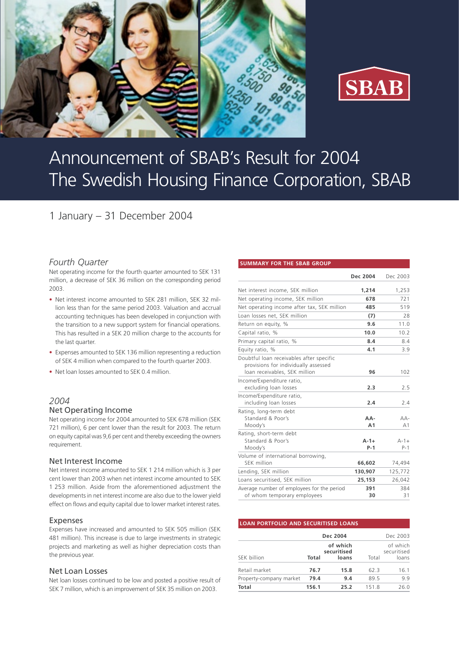



# Announcement of SBAB's Result for 2004 The Swedish Housing Finance Corporation, SBAB

# 1 January – 31 December 2004

# *Fourth Quarter*

Net operating income for the fourth quarter amounted to SEK 131 million, a decrease of SEK 36 million on the corresponding period 2003.

- Net interest income amounted to SEK 281 million, SEK 32 million less than for the same period 2003. Valuation and accrual accounting techniques has been developed in conjunction with the transition to a new support system for financial operations. This has resulted in a SEK 20 million charge to the accounts for the last quarter.
- Expenses amounted to SEK 136 million representing a reduction of SEK 4 million when compared to the fourth quarter 2003.
- Net loan losses amounted to SEK 0.4 million.

# *2004* Net Operating Income

Net operating income for 2004 amounted to SEK 678 million (SEK 721 million), 6 per cent lower than the result for 2003. The return on equity capital was 9,6 per cent and thereby exceeding the owners requirement.

## Net Interest Income

Net interest income amounted to SEK 1 214 million which is 3 per cent lower than 2003 when net interest income amounted to SEK 1 253 million. Aside from the aforementioned adjustment the developments in net interest income are also due to the lower yield effect on flows and equity capital due to lower market interest rates.

## Expenses

Expenses have increased and amounted to SEK 505 million (SEK 481 million). This increase is due to large investments in strategic projects and marketing as well as higher depreciation costs than the previous year.

#### Net Loan Losses

Net loan losses continued to be low and posted a positive result of SEK 7 million, which is an improvement of SEK 35 million on 2003.

#### **SUMMARY FOR THE SBAB GROUP**

|                                                                                                                   | Dec 2004              | Dec 2003           |
|-------------------------------------------------------------------------------------------------------------------|-----------------------|--------------------|
| Net interest income, SEK million                                                                                  | 1,214                 | 1,253              |
| Net operating income, SEK million                                                                                 | 678                   | 721                |
| Net operating income after tax, SEK million                                                                       | 485                   | 519                |
| Loan losses net, SEK million                                                                                      | (7)                   | 28                 |
| Return on equity, %                                                                                               | 9.6                   | 11.0               |
| Capital ratio, %                                                                                                  | 10.0                  | 10.2               |
| Primary capital ratio, %                                                                                          | 8.4                   | 8.4                |
| Equity ratio, %                                                                                                   | 4.1                   | 3.9                |
| Doubtful loan receivables after specific<br>provisions for individually assessed<br>loan receivables, SEK million | 96                    | 102                |
| Income/Expenditure ratio,<br>excluding loan losses                                                                | 2.3                   | 2.5                |
| Income/Expenditure ratio,<br>including loan losses                                                                | 2.4                   | 2.4                |
| Rating, long-term debt<br>Standard & Poor's<br>Moody's                                                            | AA-<br>A <sub>1</sub> | $AA-$<br>A1        |
| Rating, short-term debt<br>Standard & Poor's<br>Moody's                                                           | $A - 1 +$<br>$P-1$    | $A - 1 +$<br>$P-1$ |
| Volume of international borrowing,<br>SEK million                                                                 | 66,602                | 74,494             |
| Lending, SEK million                                                                                              | 130,907               | 125,772            |
| Loans securitised, SEK million                                                                                    | 25,153                | 26,042             |
| Average number of employees for the period<br>of whom temporary employees                                         | 391<br>30             | 384<br>31          |

#### **LOAN PORTFOLIO AND SECURITISED LOANS**

|                         |                                           | Dec 2004 |       | Dec 2003                         |
|-------------------------|-------------------------------------------|----------|-------|----------------------------------|
| SEK billion             | of which<br>securitised<br>Total<br>loans |          | Total | of which<br>securitised<br>loans |
| Retail market           | 76.7                                      | 15.8     | 62.3  | 16.1                             |
| Property-company market | 79.4                                      | 9.4      | 89.5  | 9.9                              |
| Total                   | 156.1                                     | 25.2     | 151.8 | 26.0                             |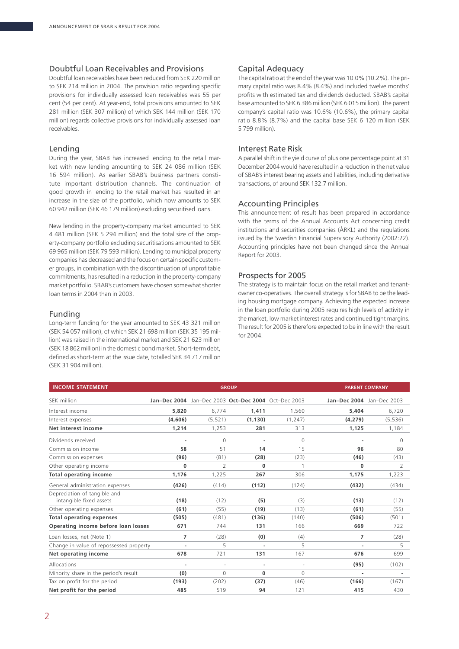# Doubtful Loan Receivables and Provisions

Doubtful loan receivables have been reduced from SEK 220 million to SEK 214 million in 2004. The provision ratio regarding specific provisions for individually assessed loan receivables was 55 per cent (54 per cent). At year-end, total provisions amounted to SEK 281 million (SEK 307 million) of which SEK 144 million (SEK 170 million) regards collective provisions for individually assessed loan receivables.

# Lending

During the year, SBAB has increased lending to the retail market with new lending amounting to SEK 24 086 million (SEK 16 594 million). As earlier SBAB's business partners constitute important distribution channels. The continuation of good growth in lending to the retail market has resulted in an increase in the size of the portfolio, which now amounts to SEK 60 942 million (SEK 46 179 million) excluding securitised loans.

New lending in the property-company market amounted to SEK 4 481 million (SEK 5 294 million) and the total size of the property-company portfolio excluding securitisations amounted to SEK 69 965 million (SEK 79 593 million). Lending to municipal property companies has decreased and the focus on certain specific customer groups, in combination with the discontinuation of unprofitable commitments, has resulted in a reduction in the property-company market portfolio. SBAB's customers have chosen somewhat shorter loan terms in 2004 than in 2003.

## Funding

Long-term funding for the year amounted to SEK 43 321 million (SEK 54 057 million), of which SEK 21 698 million (SEK 35 195 million) was raised in the international market and SEK 21 623 million (SEK 18 862 million) in the domestic bond market. Short-term debt, defined as short-term at the issue date, totalled SEK 34 717 million (SEK 31 904 million).

# Capital Adequacy

The capital ratio at the end of the year was 10.0% (10.2%). The primary capital ratio was 8.4% (8.4%) and included twelve months' profits with estimated tax and dividends deducted. SBAB's capital base amounted to SEK 6 386 million (SEK 6 015 million). The parent company's capital ratio was 10.6% (10.6%), the primary capital ratio 8.8% (8.7%) and the capital base SEK 6 120 million (SEK 5 799 million).

# Interest Rate Risk

A parallel shift in the yield curve of plus one percentage point at 31 December 2004 would have resulted in a reduction in the net value of SBAB's interest bearing assets and liabilities, including derivative transactions, of around SEK 132.7 million.

# Accounting Principles

This announcement of result has been prepared in accordance with the terms of the Annual Accounts Act concerning credit institutions and securities companies (ÅRKL) and the regulations issued by the Swedish Financial Supervisory Authority (2002:22). Accounting principles have not been changed since the Annual Report for 2003.

# Prospects for 2005

The strategy is to maintain focus on the retail market and tenantowner co-operatives. The overall strategy is for SBAB to be the leading housing mortgage company. Achieving the expected increase in the loan portfolio during 2005 requires high levels of activity in the market, low market interest rates and continued tight margins. The result for 2005 is therefore expected to be in line with the result for 2004.

| <b>INCOME STATEMENT</b>                 | <b>GROUP</b>   |              |                                                     |                |                           | <b>PARENT COMPANY</b> |  |  |
|-----------------------------------------|----------------|--------------|-----------------------------------------------------|----------------|---------------------------|-----------------------|--|--|
| SEK million                             |                |              | Jan-Dec 2004 Jan-Dec 2003 Oct-Dec 2004 Oct-Dec 2003 |                | Jan-Dec 2004 Jan-Dec 2003 |                       |  |  |
| Interest income                         | 5,820          | 6,774        | 1.411                                               | 1,560          | 5,404                     | 6,720                 |  |  |
| Interest expenses                       | (4,606)        | (5, 521)     | (1, 130)                                            | (1, 247)       | (4, 279)                  | (5, 536)              |  |  |
| Net interest income                     | 1,214          | 1,253        | 281                                                 | 313            | 1,125                     | 1,184                 |  |  |
| Dividends received                      | ٠              | $\mathbf{0}$ |                                                     | $\circ$        |                           | $\Omega$              |  |  |
| Commission income                       | 58             | 51           | 14                                                  | 15             | 96                        | 80                    |  |  |
| Commission expenses                     | (96)           | (81)         | (28)                                                | (23)           | (46)                      | (43)                  |  |  |
| Other operating income                  | 0              | 2            | $\bf{0}$                                            | $\overline{1}$ | 0                         | 2                     |  |  |
| <b>Total operating income</b>           | 1,176          | 1,225        | 267                                                 | 306            | 1,175                     | 1,223                 |  |  |
| General administration expenses         | (426)          | (414)        | (112)                                               | (124)          | (432)                     | (434)                 |  |  |
| Depreciation of tangible and            |                |              |                                                     |                |                           |                       |  |  |
| intangible fixed assets                 | (18)           | (12)         | (5)                                                 | (3)            | (13)                      | (12)                  |  |  |
| Other operating expenses                | (61)           | (55)         | (19)                                                | (13)           | (61)                      | (55)                  |  |  |
| <b>Total operating expenses</b>         | (505)          | (481)        | (136)                                               | (140)          | (506)                     | (501)                 |  |  |
| Operating income before loan losses     | 671            | 744          | 131                                                 | 166            | 669                       | 722                   |  |  |
| Loan losses, net (Note 1)               | $\overline{7}$ | (28)         | (0)                                                 | (4)            | $\overline{7}$            | (28)                  |  |  |
| Change in value of repossessed property | ÷,             | 5            |                                                     | 5              |                           | 5                     |  |  |
| Net operating income                    | 678            | 721          | 131                                                 | 167            | 676                       | 699                   |  |  |
| Allocations                             | $\overline{a}$ | $\sim$       | ٠                                                   | ÷.             | (95)                      | (102)                 |  |  |
| Minority share in the period's result   | (0)            | $\mathbf 0$  | 0                                                   | $\Omega$       | ÷,                        |                       |  |  |
| Tax on profit for the period            | (193)          | (202)        | (37)                                                | (46)           | (166)                     | (167)                 |  |  |
| Net profit for the period               | 485            | 519          | 94                                                  | 121            | 415                       | 430                   |  |  |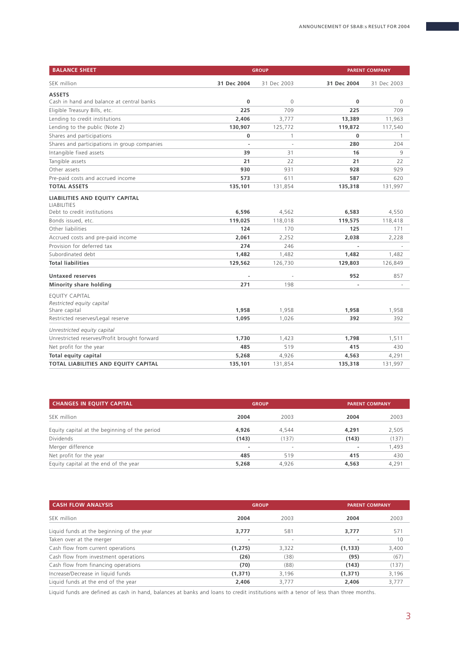| <b>BALANCE SHEET</b><br><b>GROUP</b>                 |                          | <b>PARENT COMPANY</b> |             |             |
|------------------------------------------------------|--------------------------|-----------------------|-------------|-------------|
| SEK million                                          | 31 Dec 2004              | 31 Dec 2003           | 31 Dec 2004 | 31 Dec 2003 |
| <b>ASSETS</b>                                        |                          |                       |             |             |
| Cash in hand and balance at central banks            | 0                        | $\mathbf 0$           | 0           | $\mathbf 0$ |
| Eligible Treasury Bills, etc.                        | 225                      | 709                   | 225         | 709         |
| Lending to credit institutions                       | 2,406                    | 3,777                 | 13,389      | 11,963      |
| Lending to the public (Note 2)                       | 130,907                  | 125,772               | 119,872     | 117,540     |
| Shares and participations                            | 0                        | 1                     | 0           | 1           |
| Shares and participations in group companies         | $\overline{\phantom{a}}$ | J.                    | 280         | 204         |
| Intangible fixed assets                              | 39                       | 31                    | 16          | 9           |
| Tangible assets                                      | 21                       | 22                    | 21          | 22          |
| Other assets                                         | 930                      | 931                   | 928         | 929         |
| Pre-paid costs and accrued income                    | 573                      | 611                   | 587         | 620         |
| <b>TOTAL ASSETS</b>                                  | 135,101                  | 131,854               | 135,318     | 131,997     |
| LIABILITIES AND EQUITY CAPITAL<br><b>LIABILITIES</b> |                          |                       |             |             |
| Debt to credit institutions                          | 6,596                    | 4,562                 | 6,583       | 4,550       |
| Bonds issued, etc.                                   | 119,025                  | 118,018               | 119,575     | 118,418     |
| Other liabilities                                    | 124                      | 170                   | 125         | 171         |
| Accrued costs and pre-paid income                    | 2,061                    | 2,252                 | 2,038       | 2,228       |
| Provision for deferred tax                           | 274                      | 246                   |             |             |
| Subordinated debt                                    | 1,482                    | 1,482                 | 1,482       | 1,482       |
| <b>Total liabilities</b>                             | 129,562                  | 126,730               | 129,803     | 126,849     |
| <b>Untaxed reserves</b>                              |                          |                       | 952         | 857         |
| Minority share holding                               | 271                      | 198                   |             |             |
| <b>EOUITY CAPITAL</b><br>Restricted equity capital   |                          |                       |             |             |
| Share capital                                        | 1,958                    | 1,958                 | 1,958       | 1,958       |
| Restricted reserves/Legal reserve                    | 1,095                    | 1,026                 | 392         | 392         |
| Unrestricted equity capital                          |                          |                       |             |             |
| Unrestricted reserves/Profit brought forward         | 1,730                    | 1,423                 | 1,798       | 1,511       |
| Net profit for the year                              | 485                      | 519                   | 415         | 430         |
| <b>Total equity capital</b>                          | 5,268                    | 4,926                 | 4,563       | 4,291       |
| TOTAL LIABILITIES AND EQUITY CAPITAL                 | 135,101                  | 131,854               | 135,318     | 131,997     |

| <b>CHANGES IN EQUITY CAPITAL</b>              |       | <b>GROUP</b>             |                          | <b>PARENT COMPANY</b> |  |
|-----------------------------------------------|-------|--------------------------|--------------------------|-----------------------|--|
| SEK million                                   | 2004  | 2003                     | 2004                     | 2003                  |  |
| Equity capital at the beginning of the period | 4.926 | 4,544                    | 4,291                    | 2,505                 |  |
| <b>Dividends</b>                              | (143) | (137)                    | (143)                    | (137)                 |  |
| Merger difference                             |       | $\overline{\phantom{a}}$ | $\overline{\phantom{a}}$ | 1,493                 |  |
| Net profit for the year                       | 485   | 519                      | 415                      | 430                   |  |
| Equity capital at the end of the year         | 5,268 | 4,926                    | 4,563                    | 4,291                 |  |

| <b>CASH FLOW ANALYSIS</b>                 | <b>GROUP</b> |                          | <b>PARENT COMPANY</b> |       |  |
|-------------------------------------------|--------------|--------------------------|-----------------------|-------|--|
| SEK million                               | 2004         | 2003                     | 2004                  | 2003  |  |
| Liquid funds at the beginning of the year | 3.777        | 581                      | 3.777                 | 571   |  |
| Taken over at the merger                  | ۰            | $\overline{\phantom{a}}$ |                       | 10    |  |
| Cash flow from current operations         | (1, 275)     | 3,322                    | (1, 133)              | 3,400 |  |
| Cash flow from investment operations      | (26)         | (38)                     | (95)                  | (67)  |  |
| Cash flow from financing operations       | (70)         | (88)                     | (143)                 | (137) |  |
| Increase/Decrease in liquid funds         | (1,371)      | 3.196                    | (1, 371)              | 3,196 |  |
| Liquid funds at the end of the year       | 2,406        | 3.777                    | 2,406                 | 3,777 |  |
|                                           |              |                          |                       |       |  |

Liquid funds are defined as cash in hand, balances at banks and loans to credit institutions with a tenor of less than three months.